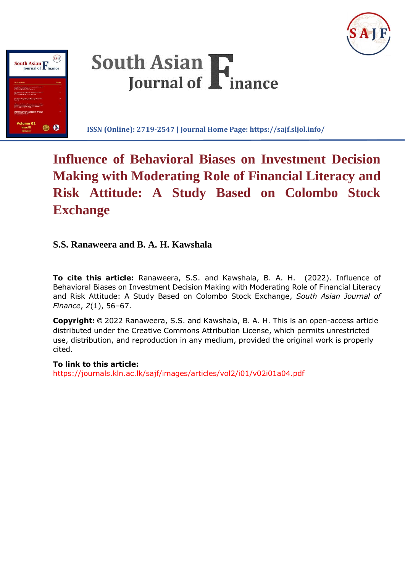DOI: http://doi.org/10.4038/sajf.v2i1.32







**ISSN (Online): 2719-2547 | Journal Home Page: https://sajf.sljol.info/**

# **Influence of Behavioral Biases on Investment Decision Making with Moderating Role of Financial Literacy and Risk Attitude: A Study Based on Colombo Stock Exchange**

# **S.S. Ranaweera and B. A. H. Kawshala**

**To cite this article:** Ranaweera, S.S. and Kawshala, B. A. H. (2022). Influence of Behavioral Biases on Investment Decision Making with Moderating Role of Financial Literacy and Risk Attitude: A Study Based on Colombo Stock Exchange, *South Asian Journal of Finance*, *2*(1), 56–67.

**Copyright:** © 2022 Ranaweera, S.S. and Kawshala, B. A. H. This is an open-access article distributed under the Creative Commons Attribution License, which permits unrestricted use, distribution, and reproduction in any medium, provided the original work is properly cited.

# **To link to this article:**

https://journals.kln.ac.lk/sajf/images/articles/vol2/i01/v02i01a04.pdf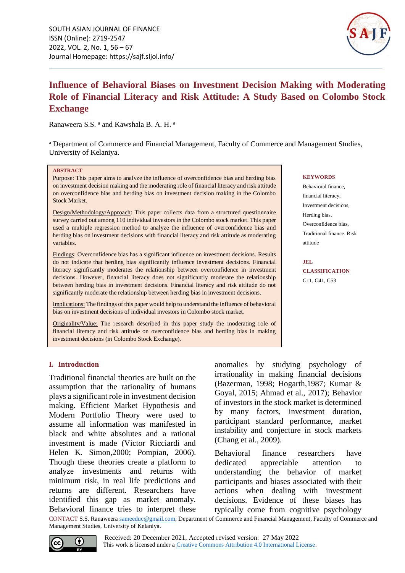

# **Influence of Behavioral Biases on Investment Decision Making with Moderating Role of Financial Literacy and Risk Attitude: A Study Based on Colombo Stock Exchange**

Ranaweera S.S. <sup>a</sup> and Kawshala B. A. H. <sup>a</sup>

a Department of Commerce and Financial Management, Faculty of Commerce and Management Studies, University of Kelaniya.

#### **ABSTRACT**

Purpose: This paper aims to analyze the influence of overconfidence bias and herding bias on investment decision making and the moderating role of financial literacy and risk attitude on overconfidence bias and herding bias on investment decision making in the Colombo Stock Market.

Design/Methodology/Approach: This paper collects data from a structured questionnaire survey carried out among 110 individual investors in the Colombo stock market. This paper used a multiple regression method to analyze the influence of overconfidence bias and herding bias on investment decisions with financial literacy and risk attitude as moderating variables.

Findings: Overconfidence bias has a significant influence on investment decisions. Results do not indicate that herding bias significantly influence investment decisions. Financial literacy significantly moderates the relationship between overconfidence in investment decisions. However, financial literacy does not significantly moderate the relationship between herding bias in investment decisions. Financial literacy and risk attitude do not significantly moderate the relationship between herding bias in investment decisions.

Implications: The findings of this paper would help to understand the influence of behavioral bias on investment decisions of individual investors in Colombo stock market.

Originality/Value: The research described in this paper study the moderating role of financial literacy and risk attitude on overconfidence bias and herding bias in making investment decisions (in Colombo Stock Exchange).

#### **KEYWORDS**

Behavioral finance, financial literacy, Investment decisions, Herding bias, Overconfidence bias, Traditional finance, Risk attitude

**JEL CLASSIFICATION** G11, G41, G53

# **I. Introduction**

Traditional financial theories are built on the assumption that the rationality of humans plays a significant role in investment decision making. Efficient Market Hypothesis and Modern Portfolio Theory were used to assume all information was manifested in black and white absolutes and a rational investment is made (Victor Ricciardi and Helen K. Simon,2000; Pompian, 2006). Though these theories create a platform to analyze investments and returns with minimum risk, in real life predictions and returns are different. Researchers have identified this gap as market anomaly. Behavioral finance tries to interpret these anomalies by studying psychology of irrationality in making financial decisions (Bazerman, 1998; Hogarth,1987; Kumar & Goyal, 2015; Ahmad et al., 2017); Behavior of investors in the stock market is determined by many factors, investment duration, participant standard performance, market instability and conjecture in stock markets (Chang et al., 2009).

Behavioral finance researchers have dedicated appreciable attention to understanding the behavior of market participants and biases associated with their actions when dealing with investment decisions. Evidence of these biases has typically come from cognitive psychology

CONTACT S.S. Ranaweera [sameeduc@gmail.com,](mailto:sameeduc@gmail.com) Department of Commerce and Financial Management, Faculty of Commerce and Management Studies, University of Kelaniya.

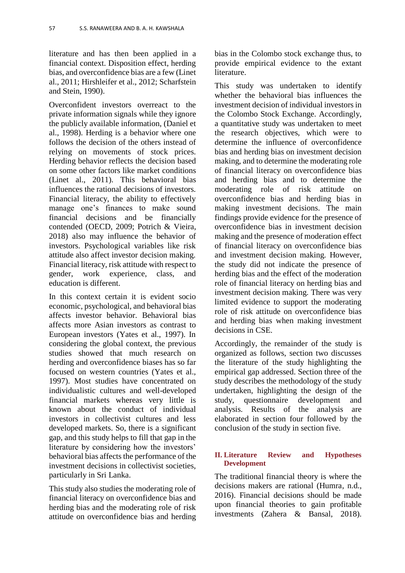literature and has then been applied in a financial context. Disposition effect, herding bias, and overconfidence bias are a few (Linet al., 2011; Hirshleifer et al., 2012; Scharfstein and Stein, 1990).

Overconfident investors overreact to the private information signals while they ignore the publicly available information, (Daniel et al., 1998). Herding is a behavior where one follows the decision of the others instead of relying on movements of stock prices. Herding behavior reflects the decision based on some other factors like market conditions (Linet al., 2011). This behavioral bias influences the rational decisions of investors. Financial literacy, the ability to effectively manage one's finances to make sound financial decisions and be financially contended (OECD, 2009; Potrich & Vieira, 2018) also may influence the behavior of investors. Psychological variables like risk attitude also affect investor decision making. Financial literacy, risk attitude with respect to gender, work experience, class, and education is different.

In this context certain it is evident socio economic, psychological, and behavioral bias affects investor behavior. Behavioral bias affects more Asian investors as contrast to European investors (Yates et al., 1997). In considering the global context, the previous studies showed that much research on herding and overconfidence biases has so far focused on western countries (Yates et al., 1997). Most studies have concentrated on individualistic cultures and well-developed financial markets whereas very little is known about the conduct of individual investors in collectivist cultures and less developed markets. So, there is a significant gap, and this study helps to fill that gap in the literature by considering how the investors' behavioral bias affects the performance of the investment decisions in collectivist societies, particularly in Sri Lanka.

This study also studies the moderating role of financial literacy on overconfidence bias and herding bias and the moderating role of risk attitude on overconfidence bias and herding bias in the Colombo stock exchange thus, to provide empirical evidence to the extant literature.

This study was undertaken to identify whether the behavioral bias influences the investment decision of individual investors in the Colombo Stock Exchange. Accordingly, a quantitative study was undertaken to meet the research objectives, which were to determine the influence of overconfidence bias and herding bias on investment decision making, and to determine the moderating role of financial literacy on overconfidence bias and herding bias and to determine the moderating role of risk attitude on overconfidence bias and herding bias in making investment decisions. The main findings provide evidence for the presence of overconfidence bias in investment decision making and the presence of moderation effect of financial literacy on overconfidence bias and investment decision making. However, the study did not indicate the presence of herding bias and the effect of the moderation role of financial literacy on herding bias and investment decision making. There was very limited evidence to support the moderating role of risk attitude on overconfidence bias and herding bias when making investment decisions in CSE.

Accordingly, the remainder of the study is organized as follows, section two discusses the literature of the study highlighting the empirical gap addressed. Section three of the study describes the methodology of the study undertaken, highlighting the design of the study, questionnaire development and analysis. Results of the analysis are elaborated in section four followed by the conclusion of the study in section five.

# **II. Literature Review and Hypotheses Development**

The traditional financial theory is where the decisions makers are rational (Humra, n.d., 2016). Financial decisions should be made upon financial theories to gain profitable investments (Zahera & Bansal, 2018).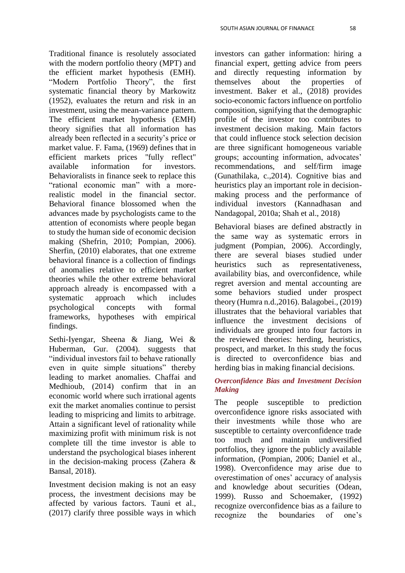Traditional finance is resolutely associated with the modern portfolio theory (MPT) and the efficient market hypothesis (EMH). "Modern Portfolio Theory", the first systematic financial theory by Markowitz (1952), evaluates the return and risk in an investment, using the mean-variance pattern. The efficient market hypothesis (EMH) theory signifies that all information has already been reflected in a security's price or market value. F. Fama, (1969) defines that in efficient markets prices "fully reflect" available information for investors. Behavioralists in finance seek to replace this "rational economic man" with a morerealistic model in the financial sector. Behavioral finance blossomed when the advances made by psychologists came to the attention of economists where people began to study the human side of economic decision making (Shefrin, 2010; Pompian, 2006). Sherfin, (2010) elaborates, that one extreme behavioral finance is a collection of findings of anomalies relative to efficient market theories while the other extreme behavioral approach already is encompassed with a systematic approach which includes psychological concepts with formal frameworks, hypotheses with empirical findings.

Sethi-Iyengar, Sheena & Jiang, Wei & Huberman, Gur. (2004). suggests that "individual investors fail to behave rationally even in quite simple situations" thereby leading to market anomalies. Chaffai and Medhioub, (2014) confirm that in an economic world where such irrational agents exit the market anomalies continue to persist leading to mispricing and limits to arbitrage. Attain a significant level of rationality while maximizing profit with minimum risk is not complete till the time investor is able to understand the psychological biases inherent in the decision-making process (Zahera & Bansal, 2018).

Investment decision making is not an easy process, the investment decisions may be affected by various factors. Tauni et al., (2017) clarify three possible ways in which investors can gather information: hiring a financial expert, getting advice from peers and directly requesting information by themselves about the properties of investment. Baker et al., (2018) provides socio-economic factors influence on portfolio composition, signifying that the demographic profile of the investor too contributes to investment decision making. Main factors that could influence stock selection decision are three significant homogeneous variable groups; accounting information, advocates' recommendations, and self/firm image (Gunathilaka, c.,2014). Cognitive bias and heuristics play an important role in decisionmaking process and the performance of individual investors (Kannadhasan and Nandagopal, 2010a; Shah et al., 2018)

Behavioral biases are defined abstractly in the same way as systematic errors in judgment (Pompian, 2006). Accordingly, there are several biases studied under heuristics such as representativeness, availability bias, and overconfidence, while regret aversion and mental accounting are some behaviors studied under prospect theory (Humra n.d.,2016). Balagobei., (2019) illustrates that the behavioral variables that influence the investment decisions of individuals are grouped into four factors in the reviewed theories: herding, heuristics, prospect, and market. In this study the focus is directed to overconfidence bias and herding bias in making financial decisions.

# *Overconfidence Bias and Investment Decision Making*

The people susceptible to prediction overconfidence ignore risks associated with their investments while those who are susceptible to certainty overconfidence trade too much and maintain undiversified portfolios, they ignore the publicly available information, (Pompian, 2006; Daniel et al., 1998). Overconfidence may arise due to overestimation of ones' accuracy of analysis and knowledge about securities (Odean, 1999). Russo and Schoemaker, (1992) recognize overconfidence bias as a failure to recognize the boundaries of one's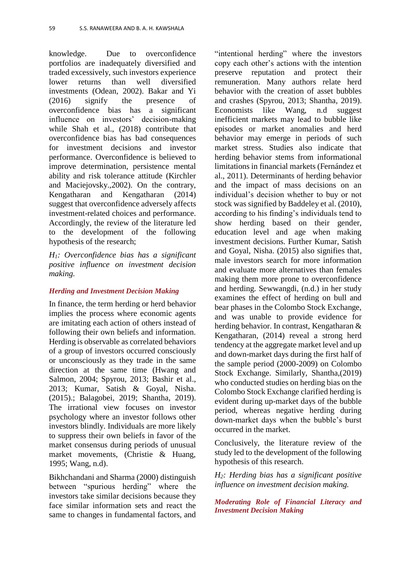knowledge. Due to overconfidence portfolios are inadequately diversified and traded excessively, such investors experience lower returns than well diversified investments (Odean, 2002). Bakar and Yi (2016) signify the presence of overconfidence bias has a significant influence on investors' decision-making while Shah et al., (2018) contribute that overconfidence bias has bad consequences for investment decisions and investor performance. Overconfidence is believed to improve determination, persistence mental ability and risk tolerance attitude (Kirchler and Maciejovsky.,2002). On the contrary, Kengatharan and Kengatharan (2014) suggest that overconfidence adversely affects investment-related choices and performance. Accordingly, the review of the literature led to the development of the following hypothesis of the research;

*H1: Overconfidence bias has a significant positive influence on investment decision making.*

#### *Herding and Investment Decision Making*

In finance, the term herding or herd behavior implies the process where economic agents are imitating each action of others instead of following their own beliefs and information. Herding is observable as correlated behaviors of a group of investors occurred consciously or unconsciously as they trade in the same direction at the same time (Hwang and Salmon, 2004; Spyrou, 2013; Bashir et al., 2013; Kumar, Satish & Goyal, Nisha. (2015).; Balagobei, 2019; Shantha, 2019). The irrational view focuses on investor psychology where an investor follows other investors blindly. Individuals are more likely to suppress their own beliefs in favor of the market consensus during periods of unusual market movements, (Christie & Huang, 1995; Wang, n.d).

Bikhchandani and Sharma (2000) distinguish between "spurious herding" where the investors take similar decisions because they face similar information sets and react the same to changes in fundamental factors, and "intentional herding" where the investors copy each other's actions with the intention preserve reputation and protect their remuneration. Many authors relate herd behavior with the creation of asset bubbles and crashes (Spyrou, 2013; Shantha, 2019). Economists like Wang, n.d suggest inefficient markets may lead to bubble like episodes or market anomalies and herd behavior may emerge in periods of such market stress. Studies also indicate that herding behavior stems from informational limitations in financial markets (Fernández et al., 2011). Determinants of herding behavior and the impact of mass decisions on an individual's decision whether to buy or not stock was signified by Baddeley et al. (2010), according to his finding's individuals tend to show herding based on their gender, education level and age when making investment decisions. Further Kumar, Satish and Goyal, Nisha. (2015) also signifies that, male investors search for more information and evaluate more alternatives than females making them more prone to overconfidence and herding. Sewwangdi, (n.d.) in her study examines the effect of herding on bull and bear phases in the Colombo Stock Exchange, and was unable to provide evidence for herding behavior. In contrast, Kengatharan & Kengatharan, (2014) reveal a strong herd tendency at the aggregate market level and up and down-market days during the first half of the sample period (2000-2009) on Colombo Stock Exchange. Similarly, Shantha,(2019) who conducted studies on herding bias on the Colombo Stock Exchange clarified herding is evident during up-market days of the bubble period, whereas negative herding during down-market days when the bubble's burst occurred in the market.

Conclusively, the literature review of the study led to the development of the following hypothesis of this research.

*H2: Herding bias has a significant positive influence on investment decision making.*

*Moderating Role of Financial Literacy and Investment Decision Making*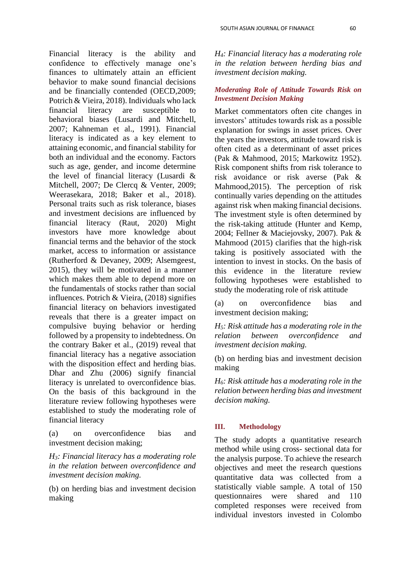Financial literacy is the ability and confidence to effectively manage one's finances to ultimately attain an efficient behavior to make sound financial decisions and be financially contended (OECD,2009; Potrich & Vieira, 2018). Individuals who lack financial literacy are susceptible to behavioral biases (Lusardi and Mitchell, 2007; Kahneman et al., 1991). Financial literacy is indicated as a key element to attaining economic, and financial stability for both an individual and the economy. Factors such as age, gender, and income determine the level of financial literacy (Lusardi & Mitchell, 2007; De Clercq & Venter, 2009; Weerasekara, 2018; Baker et al., 2018). Personal traits such as risk tolerance, biases and investment decisions are influenced by financial literacy (Raut, 2020) Might investors have more knowledge about financial terms and the behavior of the stock market, access to information or assistance (Rutherford & Devaney, 2009; Alsemgeest, 2015), they will be motivated in a manner which makes them able to depend more on the fundamentals of stocks rather than social influences. Potrich & Vieira, (2018) signifies financial literacy on behaviors investigated reveals that there is a greater impact on compulsive buying behavior or herding followed by a propensity to indebtedness. On the contrary Baker et al., (2019) reveal that financial literacy has a negative association with the disposition effect and herding bias. Dhar and Zhu (2006) signify financial literacy is unrelated to overconfidence bias. On the basis of this background in the literature review following hypotheses were established to study the moderating role of financial literacy

(a) on overconfidence bias and investment decision making;

*H3: Financial literacy has a moderating role in the relation between overconfidence and investment decision making.*

(b) on herding bias and investment decision making

*H4: Financial literacy has a moderating role in the relation between herding bias and investment decision making.*

# *Moderating Role of Attitude Towards Risk on Investment Decision Making*

Market commentators often cite changes in investors' attitudes towards risk as a possible explanation for swings in asset prices. Over the years the investors, attitude toward risk is often cited as a determinant of asset prices (Pak & Mahmood, 2015; Markowitz 1952). Risk component shifts from risk tolerance to risk avoidance or risk averse (Pak & Mahmood,2015). The perception of risk continually varies depending on the attitudes against risk when making financial decisions. The investment style is often determined by the risk-taking attitude (Hunter and Kemp, 2004; Fellner & Maciejovsky, 2007). Pak & Mahmood (2015) clarifies that the high-risk taking is positively associated with the intention to invest in stocks. On the basis of this evidence in the literature review following hypotheses were established to study the moderating role of risk attitude

(a) on overconfidence bias and investment decision making;

*H5: Risk attitude has a moderating role in the relation between overconfidence and investment decision making.*

(b) on herding bias and investment decision making

*H6: Risk attitude has a moderating role in the relation between herding bias and investment decision making.*

# **III. Methodology**

The study adopts a quantitative research method while using cross- sectional data for the analysis purpose. To achieve the research objectives and meet the research questions quantitative data was collected from a statistically viable sample. A total of 150 questionnaires were shared and 110 completed responses were received from individual investors invested in Colombo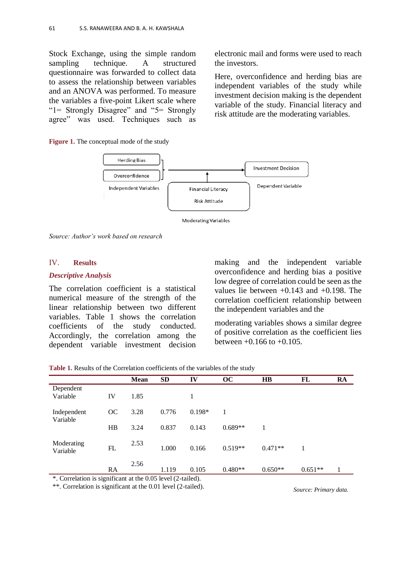Stock Exchange, using the simple random sampling technique. A structured questionnaire was forwarded to collect data to assess the relationship between variables and an ANOVA was performed. To measure the variables a five-point Likert scale where "1= Strongly Disagree" and "5= Strongly agree" was used. Techniques such as

**Figure 1.** The conceptual mode of the study

electronic mail and forms were used to reach the investors.

Here, overconfidence and herding bias are independent variables of the study while investment decision making is the dependent variable of the study. Financial literacy and risk attitude are the moderating variables.



**Moderating Variables** 

*Source: Author's work based on research*

# IV. **Results**

## *Descriptive Analysis*

The correlation coefficient is a statistical numerical measure of the strength of the linear relationship between two different variables. Table 1 shows the correlation coefficients of the study conducted. Accordingly, the correlation among the dependent variable investment decision

making and the independent variable overconfidence and herding bias a positive low degree of correlation could be seen as the values lie between  $+0.143$  and  $+0.198$ . The correlation coefficient relationship between the independent variables and the

moderating variables shows a similar degree of positive correlation as the coefficient lies between  $+0.166$  to  $+0.105$ .

**Table 1.** Results of the Correlation coefficients of the variables of the study

|                         |                      | <b>Mean</b> | <b>SD</b>              | IV                | oc        | $\mathbf{H}\mathbf{B}$ | FL        | RA |
|-------------------------|----------------------|-------------|------------------------|-------------------|-----------|------------------------|-----------|----|
| Dependent               |                      |             |                        |                   |           |                        |           |    |
| Variable                | IV                   | 1.85        |                        |                   |           |                        |           |    |
| Independent<br>Variable | OC                   | 3.28        | 0.776                  | $0.198*$          | 1         |                        |           |    |
|                         | HB                   | 3.24        | 0.837                  | 0.143             | $0.689**$ |                        |           |    |
| Moderating<br>Variable  | FL                   | 2.53        | 1.000                  | 0.166             | $0.519**$ | $0.471**$              |           |    |
| $\sim$<br>$\sim$        | RA<br>$\cdot$ $\sim$ | 2.56        | 1.119<br>$\sim$ $\sim$ | 0.105<br>$\cdots$ | $0.480**$ | $0.650**$              | $0.651**$ | 1  |

\*. Correlation is significant at the 0.05 level (2-tailed).

\*\*. Correlation is significant at the 0.01 level (2-tailed).

*Source: Primary data.*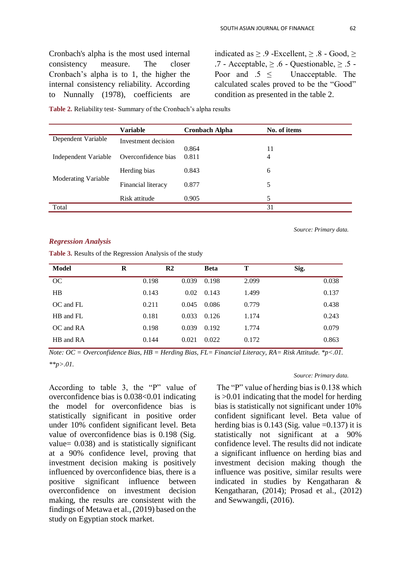Cronbach's alpha is the most used internal consistency measure. The closer Cronbach's alpha is to 1, the higher the internal consistency reliability. According to Nunnally (1978), coefficients are indicated as  $\geq .9$  -Excellent,  $\geq .8$  - Good,  $\geq$ .7 - Acceptable,  $> 0.6$  - Questionable,  $> 0.5$  -Poor and .5 < Unacceptable. The calculated scales proved to be the "Good" condition as presented in the table 2.

|                      | Variable            | <b>Cronbach Alpha</b> | No. of items |
|----------------------|---------------------|-----------------------|--------------|
| Dependent Variable   | Investment decision |                       |              |
|                      |                     | 0.864                 | 11           |
| Independent Variable | Overconfidence bias | 0.811                 | 4            |
| Moderating Variable  | Herding bias        | 0.843                 | 6            |
|                      | Financial literacy  | 0.877                 | 5            |
|                      | Risk attitude       | 0.905                 | 5            |
| Total                |                     |                       | 31           |

**Table 2.** Reliability test- Summary of the Cronbach's alpha results

*Regression Analysis* 

**Table 3.** Results of the Regression Analysis of the study

| Model         | R     | R <sub>2</sub> | <b>Beta</b> | Т     | Sig. |       |
|---------------|-------|----------------|-------------|-------|------|-------|
| OC            | 0.198 | 0.039          | 0.198       | 2.099 |      | 0.038 |
| HB            | 0.143 | 0.02           | 0.143       | 1.499 |      | 0.137 |
| $OC$ and $FL$ | 0.211 | 0.045          | 0.086       | 0.779 |      | 0.438 |
| HB and FL     | 0.181 | 0.033          | 0.126       | 1.174 |      | 0.243 |
| $OC$ and $RA$ | 0.198 | 0.039          | 0.192       | 1.774 |      | 0.079 |
| HB and RA     | 0.144 | 0.021          | 0.022       | 0.172 |      | 0.863 |
|               |       |                |             |       |      |       |

*Note: OC = Overconfidence Bias, HB = Herding Bias, FL= Financial Literacy, RA= Risk Attitude. \*p<.01. \*\*p>.01.*

According to table 3, the "P" value of overconfidence bias is 0.038<0.01 indicating the model for overconfidence bias is statistically significant in positive order under 10% confident significant level. Beta value of overconfidence bias is 0.198 (Sig. value= 0.038) and is statistically significant at a 90% confidence level, proving that investment decision making is positively influenced by overconfidence bias, there is a positive significant influence between overconfidence on investment decision making, the results are consistent with the findings of Metawa et al., (2019) based on the study on Egyptian stock market.

#### *Source: Primary data.*

*Source: Primary data.*

The "P" value of herding bias is 0.138 which is >0.01 indicating that the model for herding bias is statistically not significant under 10% confident significant level. Beta value of herding bias is  $0.143$  (Sig. value =0.137) it is statistically not significant at a 90% confidence level. The results did not indicate a significant influence on herding bias and investment decision making though the influence was positive, similar results were indicated in studies by Kengatharan & Kengatharan, (2014); Prosad et al., (2012) and Sewwangdi, (2016).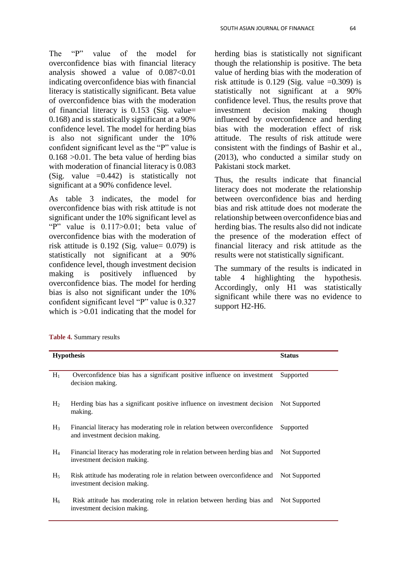The "P" value of the model for overconfidence bias with financial literacy analysis showed a value of 0.087<0.01 indicating overconfidence bias with financial literacy is statistically significant. Beta value of overconfidence bias with the moderation of financial literacy is 0.153 (Sig. value= 0.168) and is statistically significant at a 90% confidence level. The model for herding bias is also not significant under the 10% confident significant level as the "P" value is  $0.168 > 0.01$ . The beta value of herding bias with moderation of financial literacy is 0.083 (Sig. value  $=0.442$ ) is statistically not significant at a 90% confidence level.

As table 3 indicates, the model for overconfidence bias with risk attitude is not significant under the 10% significant level as "P" value is 0.117>0.01; beta value of overconfidence bias with the moderation of risk attitude is  $0.192$  (Sig. value=  $0.079$ ) is statistically not significant at a 90% confidence level, though investment decision making is positively influenced by overconfidence bias. The model for herding bias is also not significant under the 10% confident significant level "P" value is 0.327 which is  $>0.01$  indicating that the model for

herding bias is statistically not significant though the relationship is positive. The beta value of herding bias with the moderation of risk attitude is  $0.129$  (Sig. value  $=0.309$ ) is statistically not significant at a 90% confidence level. Thus, the results prove that investment decision making though influenced by overconfidence and herding bias with the moderation effect of risk attitude. The results of risk attitude were consistent with the findings of Bashir et al., (2013), who conducted a similar study on Pakistani stock market.

Thus, the results indicate that financial literacy does not moderate the relationship between overconfidence bias and herding bias and risk attitude does not moderate the relationship between overconfidence bias and herding bias. The results also did not indicate the presence of the moderation effect of financial literacy and risk attitude as the results were not statistically significant.

The summary of the results is indicated in table 4 highlighting the hypothesis. Accordingly, only H1 was statistically significant while there was no evidence to support H2-H6.

| Table 4. Summary results |  |
|--------------------------|--|
|--------------------------|--|

|                | <b>Hypothesis</b>                                                                                                   | <b>Status</b> |
|----------------|---------------------------------------------------------------------------------------------------------------------|---------------|
|                |                                                                                                                     |               |
| $H_1$          | Overconfidence bias has a significant positive influence on investment<br>decision making.                          | Supported     |
| H <sub>2</sub> | Herding bias has a significant positive influence on investment decision<br>making.                                 | Not Supported |
| $H_3$          | Financial literacy has moderating role in relation between overconfidence<br>and investment decision making.        | Supported     |
| $H_4$          | Financial literacy has moderating role in relation between herding bias and<br>investment decision making.          | Not Supported |
| $H_5$          | Risk attitude has moderating role in relation between overconfidence and<br>investment decision making.             | Not Supported |
| $H_6$          | Risk attitude has moderating role in relation between herding bias and Not Supported<br>investment decision making. |               |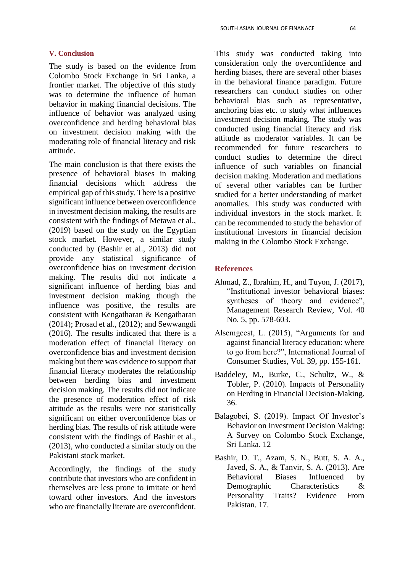## **V. Conclusion**

The study is based on the evidence from Colombo Stock Exchange in Sri Lanka, a frontier market. The objective of this study was to determine the influence of human behavior in making financial decisions. The influence of behavior was analyzed using overconfidence and herding behavioral bias on investment decision making with the moderating role of financial literacy and risk attitude.

The main conclusion is that there exists the presence of behavioral biases in making financial decisions which address the empirical gap of this study. There is a positive significant influence between overconfidence in investment decision making, the results are consistent with the findings of Metawa et al., (2019) based on the study on the Egyptian stock market. However, a similar study conducted by (Bashir et al., 2013) did not provide any statistical significance of overconfidence bias on investment decision making. The results did not indicate a significant influence of herding bias and investment decision making though the influence was positive, the results are consistent with Kengatharan & Kengatharan (2014); Prosad et al., (2012); and Sewwangdi (2016). The results indicated that there is a moderation effect of financial literacy on overconfidence bias and investment decision making but there was evidence to support that financial literacy moderates the relationship between herding bias and investment decision making. The results did not indicate the presence of moderation effect of risk attitude as the results were not statistically significant on either overconfidence bias or herding bias. The results of risk attitude were consistent with the findings of Bashir et al., (2013), who conducted a similar study on the Pakistani stock market.

Accordingly, the findings of the study contribute that investors who are confident in themselves are less prone to imitate or herd toward other investors. And the investors who are financially literate are overconfident. This study was conducted taking into consideration only the overconfidence and herding biases, there are several other biases in the behavioral finance paradigm. Future researchers can conduct studies on other behavioral bias such as representative, anchoring bias etc. to study what influences investment decision making. The study was conducted using financial literacy and risk attitude as moderator variables. It can be recommended for future researchers to conduct studies to determine the direct influence of such variables on financial decision making. Moderation and mediations of several other variables can be further studied for a better understanding of market anomalies. This study was conducted with individual investors in the stock market. It can be recommended to study the behavior of institutional investors in financial decision making in the Colombo Stock Exchange.

# **References**

- Ahmad, Z., Ibrahim, H., and Tuyon, J. (2017), "Institutional investor behavioral biases: syntheses of theory and evidence", Management Research Review, Vol. 40 No. 5, pp. 578-603.
- Alsemgeest, L. (2015), "Arguments for and against financial literacy education: where to go from here?", International Journal of Consumer Studies, Vol. 39, pp. 155-161.
- Baddeley, M., Burke, C., Schultz, W., & Tobler, P. (2010). Impacts of Personality on Herding in Financial Decision-Making. 36.
- Balagobei, S. (2019). Impact Of Investor's Behavior on Investment Decision Making: A Survey on Colombo Stock Exchange, Sri Lanka. 12
- Bashir, D. T., Azam, S. N., Butt, S. A. A., Javed, S. A., & Tanvir, S. A. (2013). Are Behavioral Biases Influenced by Demographic Characteristics & Personality Traits? Evidence From Pakistan. 17.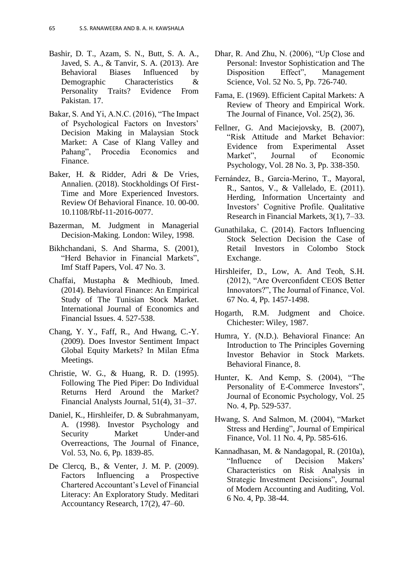- Bashir, D. T., Azam, S. N., Butt, S. A. A., Javed, S. A., & Tanvir, S. A. (2013). Are Behavioral Biases Influenced by Demographic Characteristics & Personality Traits? Evidence From Pakistan. 17.
- Bakar, S. And Yi, A.N.C. (2016), "The Impact of Psychological Factors on Investors' Decision Making in Malaysian Stock Market: A Case of Klang Valley and Pahang", Procedia Economics and Finance.
- Baker, H. & Ridder, Adri & De Vries, Annalien. (2018). Stockholdings Of First-Time and More Experienced Investors. Review Of Behavioral Finance. 10. 00-00. 10.1108/Rbf-11-2016-0077.
- Bazerman, M. Judgment in Managerial Decision-Making. London: Wiley, 1998.
- Bikhchandani, S. And Sharma, S. (2001), "Herd Behavior in Financial Markets", Imf Staff Papers, Vol. 47 No. 3.
- Chaffai, Mustapha & Medhioub, Imed. (2014). Behavioral Finance: An Empirical Study of The Tunisian Stock Market. International Journal of Economics and Financial Issues. 4. 527-538.
- Chang, Y. Y., Faff, R., And Hwang, C.-Y. (2009). Does Investor Sentiment Impact Global Equity Markets? In Milan Efma Meetings.
- Christie, W. G., & Huang, R. D. (1995). Following The Pied Piper: Do Individual Returns Herd Around the Market? Financial Analysts Journal, 51(4), 31–37.
- Daniel, K., Hirshleifer, D. & Subrahmanyam, A. (1998). Investor Psychology and Security Market Under-and Overreactions, The Journal of Finance, Vol. 53, No. 6, Pp. 1839-85.
- De Clercq, B., & Venter, J. M. P. (2009). Factors Influencing a Prospective Chartered Accountant's Level of Financial Literacy: An Exploratory Study. Meditari Accountancy Research, 17(2), 47–60.
- Dhar, R. And Zhu, N. (2006), "Up Close and Personal: Investor Sophistication and The Disposition Effect", Management Science, Vol. 52 No. 5, Pp. 726-740.
- Fama, E. (1969). Efficient Capital Markets: A Review of Theory and Empirical Work. The Journal of Finance, Vol. 25(2), 36.
- Fellner, G. And Maciejovsky, B. (2007), "Risk Attitude and Market Behavior: Evidence from Experimental Asset Market", Journal of Economic Psychology, Vol. 28 No. 3, Pp. 338-350.
- Fernández, B., Garcia‐Merino, T., Mayoral, R., Santos, V., & Vallelado, E. (2011). Herding, Information Uncertainty and Investors' Cognitive Profile. Qualitative Research in Financial Markets, 3(1), 7–33.
- Gunathilaka, C. (2014). Factors Influencing Stock Selection Decision the Case of Retail Investors in Colombo Stock Exchange.
- Hirshleifer, D., Low, A. And Teoh, S.H. (2012), "Are Overconfident CEOS Better Innovators?", The Journal of Finance, Vol. 67 No. 4, Pp. 1457-1498.
- Hogarth, R.M. Judgment and Choice. Chichester: Wiley, 1987.
- Humra, Y. (N.D.). Behavioral Finance: An Introduction to The Principles Governing Investor Behavior in Stock Markets. Behavioral Finance, 8.
- Hunter, K. And Kemp, S. (2004), "The Personality of E-Commerce Investors", Journal of Economic Psychology, Vol. 25 No. 4, Pp. 529-537.
- Hwang, S. And Salmon, M. (2004), "Market Stress and Herding", Journal of Empirical Finance, Vol. 11 No. 4, Pp. 585-616.
- Kannadhasan, M. & Nandagopal, R. (2010a), "Influence of Decision Makers' Characteristics on Risk Analysis in Strategic Investment Decisions", Journal of Modern Accounting and Auditing, Vol. 6 No. 4, Pp. 38-44.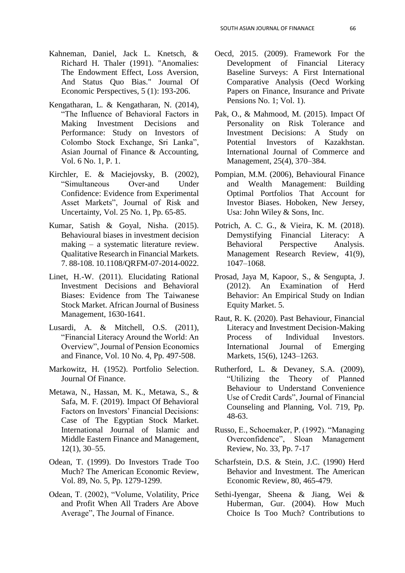- Kahneman, Daniel, Jack L. Knetsch, & Richard H. Thaler (1991). "Anomalies: The Endowment Effect, Loss Aversion, And Status Quo Bias." Journal Of Economic Perspectives, 5 (1): 193-206.
- Kengatharan, L. & Kengatharan, N. (2014), "The Influence of Behavioral Factors in Making Investment Decisions and Performance: Study on Investors of Colombo Stock Exchange, Sri Lanka", Asian Journal of Finance & Accounting, Vol. 6 No. 1, P. 1.
- Kirchler, E. & Maciejovsky, B. (2002), "Simultaneous Over-and Under Confidence: Evidence from Experimental Asset Markets", Journal of Risk and Uncertainty, Vol. 25 No. 1, Pp. 65-85.
- Kumar, Satish & Goyal, Nisha. (2015). Behavioural biases in investment decision making – a systematic literature review. Qualitative Research in Financial Markets. 7. 88-108. 10.1108/QRFM-07-2014-0022.
- Linet, H.-W. (2011). Elucidating Rational Investment Decisions and Behavioral Biases: Evidence from The Taiwanese Stock Market. African Journal of Business Management, 1630-1641.
- Lusardi, A. & Mitchell, O.S. (2011), "Financial Literacy Around the World: An Overview", Journal of Pension Economics and Finance, Vol. 10 No. 4, Pp. 497-508.
- Markowitz, H. (1952). Portfolio Selection. Journal Of Finance.
- Metawa, N., Hassan, M. K., Metawa, S., & Safa, M. F. (2019). Impact Of Behavioral Factors on Investors' Financial Decisions: Case of The Egyptian Stock Market. International Journal of Islamic and Middle Eastern Finance and Management, 12(1), 30–55.
- Odean, T. (1999). Do Investors Trade Too Much? The American Economic Review, Vol. 89, No. 5, Pp. 1279-1299.
- Odean, T. (2002), "Volume, Volatility, Price and Profit When All Traders Are Above Average", The Journal of Finance.
- Oecd, 2015. (2009). Framework For the Development of Financial Literacy Baseline Surveys: A First International Comparative Analysis (Oecd Working Papers on Finance, Insurance and Private Pensions No. 1; Vol. 1).
- Pak, O., & Mahmood, M. (2015). Impact Of Personality on Risk Tolerance and Investment Decisions: A Study on Potential Investors of Kazakhstan. International Journal of Commerce and Management, 25(4), 370–384.
- Pompian, M.M. (2006), Behavioural Finance and Wealth Management: Building Optimal Portfolios That Account for Investor Biases. Hoboken, New Jersey, Usa: John Wiley & Sons, Inc.
- Potrich, A. C. G., & Vieira, K. M. (2018). Demystifying Financial Literacy: A Behavioral Perspective Analysis. Management Research Review, 41(9), 1047–1068.
- Prosad, Jaya M, Kapoor, S., & Sengupta, J. (2012). An Examination of Herd Behavior: An Empirical Study on Indian Equity Market. 5.
- Raut, R. K. (2020). Past Behaviour, Financial Literacy and Investment Decision-Making Process of Individual Investors. International Journal of Emerging Markets, 15(6), 1243–1263.
- Rutherford, L. & Devaney, S.A. (2009), "Utilizing the Theory of Planned Behaviour to Understand Convenience Use of Credit Cards", Journal of Financial Counseling and Planning, Vol. 719, Pp. 48-63.
- Russo, E., Schoemaker, P. (1992). "Managing Overconfidence", Sloan Management Review, No. 33, Pp. 7-17
- Scharfstein, D.S. & Stein, J.C. (1990) Herd Behavior and Investment. The American Economic Review, 80, 465-479.
- Sethi-Iyengar, Sheena & Jiang, Wei & Huberman, Gur. (2004). How Much Choice Is Too Much? Contributions to